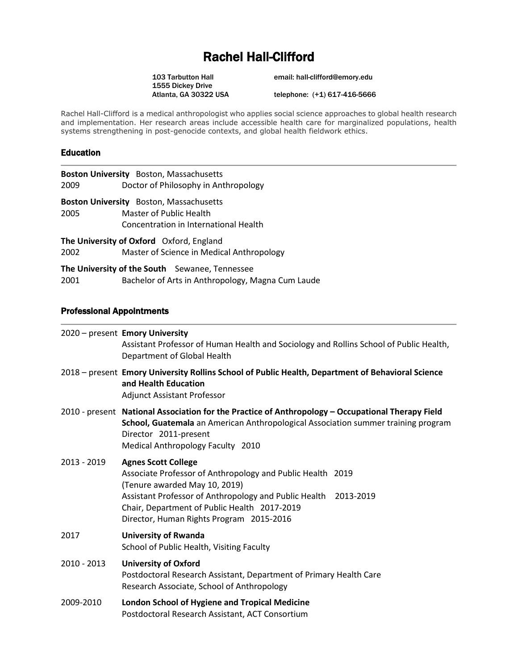# Rachel Hall-Clifford

1555 Dickey Drive<br>Atlanta, GA 30322 USA

103 Tarbutton Hall email: hall-clifford@emory.edu

telephone: (+1) 617-416-5666

Rachel Hall-Clifford is a medical anthropologist who applies social science approaches to global health research and implementation. Her research areas include accessible health care for marginalized populations, health systems strengthening in post-genocide contexts, and global health fieldwork ethics.

#### Education

| 2009                                            | Boston University Boston, Massachusetts<br>Doctor of Philosophy in Anthropology |
|-------------------------------------------------|---------------------------------------------------------------------------------|
|                                                 | Boston University Boston, Massachusetts                                         |
| 2005                                            | Master of Public Health                                                         |
|                                                 | Concentration in International Health                                           |
| <b>The University of Oxford</b> Oxford, England |                                                                                 |
| 2002                                            | Master of Science in Medical Anthropology                                       |
| The University of the South Sewanee, Tennessee  |                                                                                 |
| 2001                                            | Bachelor of Arts in Anthropology, Magna Cum Laude                               |

#### Professional Appointments

|             | 2020 - present Emory University<br>Assistant Professor of Human Health and Sociology and Rollins School of Public Health,<br>Department of Global Health                                                                                                                                 |
|-------------|------------------------------------------------------------------------------------------------------------------------------------------------------------------------------------------------------------------------------------------------------------------------------------------|
|             | 2018 – present Emory University Rollins School of Public Health, Department of Behavioral Science<br>and Health Education<br><b>Adjunct Assistant Professor</b>                                                                                                                          |
|             | 2010 - present National Association for the Practice of Anthropology - Occupational Therapy Field<br>School, Guatemala an American Anthropological Association summer training program<br>Director 2011-present<br>Medical Anthropology Faculty 2010                                     |
| 2013 - 2019 | <b>Agnes Scott College</b><br>Associate Professor of Anthropology and Public Health 2019<br>(Tenure awarded May 10, 2019)<br>Assistant Professor of Anthropology and Public Health 2013-2019<br>Chair, Department of Public Health 2017-2019<br>Director, Human Rights Program 2015-2016 |
| 2017        | <b>University of Rwanda</b><br>School of Public Health, Visiting Faculty                                                                                                                                                                                                                 |
| 2010 - 2013 | <b>University of Oxford</b><br>Postdoctoral Research Assistant, Department of Primary Health Care<br>Research Associate, School of Anthropology                                                                                                                                          |
| 2009-2010   | <b>London School of Hygiene and Tropical Medicine</b><br>Postdoctoral Research Assistant, ACT Consortium                                                                                                                                                                                 |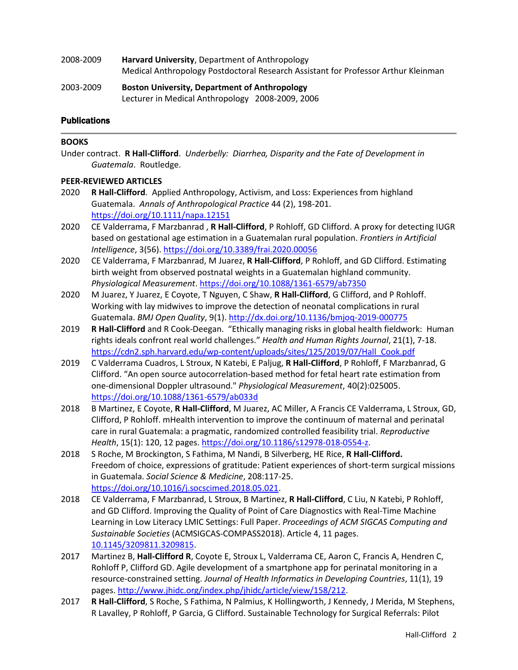- 2008-2009 **Harvard University**, Department of Anthropology Medical Anthropology Postdoctoral Research Assistant for Professor Arthur Kleinman
- 2003-2009 **Boston University, Department of Anthropology** Lecturer in Medical Anthropology 2008-2009, 2006

# **Publications**

# **BOOKS**

Under contract. **R Hall-Clifford**. *Underbelly: Diarrhea, Disparity and the Fate of Development in Guatemala*. Routledge.

# **PEER-REVIEWED ARTICLES**

- 2020 **R Hall-Clifford**. Applied Anthropology, Activism, and Loss: Experiences from highland Guatemala. *Annals of Anthropological Practice* 44 (2), 198-201. <https://doi.org/10.1111/napa.12151>
- 2020 CE Valderrama, F Marzbanrad , **R Hall-Clifford**, P Rohloff, GD Clifford. A proxy for detecting IUGR based on gestational age estimation in a Guatemalan rural population. *Frontiers in Artificial Intelligence*, 3(56). <https://doi.org/10.3389/frai.2020.00056>
- 2020 CE Valderrama, F Marzbanrad, M Juarez, **R Hall-Clifford**, P Rohloff, and GD Clifford. Estimating birth weight from observed postnatal weights in a Guatemalan highland community. *Physiological Measurement*. <https://doi.org/10.1088/1361-6579/ab7350>
- 2020 M Juarez, Y Juarez, E Coyote, T Nguyen, C Shaw, **R Hall-Clifford**, G Clifford, and P Rohloff. Working with lay midwives to improve the detection of neonatal complications in rural Guatemala. *BMJ Open Quality*, 9(1). <http://dx.doi.org/10.1136/bmjoq-2019-000775>
- 2019 **R Hall-Clifford** and R Cook-Deegan. "Ethically managing risks in global health fieldwork: Human rights ideals confront real world challenges." *Health and Human Rights Journal*, 21(1), 7-18. [https://cdn2.sph.harvard.edu/wp-content/uploads/sites/125/2019/07/Hall\\_Cook.pdf](https://cdn2.sph.harvard.edu/wp-content/uploads/sites/125/2019/07/Hall_Cook.pdf)
- 2019 C Valderrama Cuadros, L Stroux, N Katebi, E Paljug, **R Hall-Clifford**, P Rohloff, F Marzbanrad, G Clifford. "An open source autocorrelation-based method for fetal heart rate estimation from one-dimensional Doppler ultrasound." *Physiological Measurement*, 40(2):025005. <https://doi.org/10.1088/1361-6579/ab033d>
- 2018 B Martinez, E Coyote, **R Hall-Clifford**, M Juarez, AC Miller, A Francis CE Valderrama, L Stroux, GD, Clifford, P Rohloff. mHealth intervention to improve the continuum of maternal and perinatal care in rural Guatemala: a pragmatic, randomized controlled feasibility trial. *Reproductive Health*, 15(1): 120, 12 pages. [https://doi.org/10.1186/s12978-018-0554-z.](https://doi.org/10.1186/s12978-018-0554-z)
- 2018 S Roche, M Brockington, S Fathima, M Nandi, B Silverberg, HE Rice, **R Hall-Clifford.** Freedom of choice, expressions of gratitude: Patient experiences of short-term surgical missions in Guatemala. *Social Science & Medicine*, 208:117-25. [https://doi.org/10.1016/j.socscimed.2018.05.021.](https://doi.org/10.1016/j.socscimed.2018.05.021)
- 2018 CE Valderrama, F Marzbanrad, L Stroux, B Martinez, **R Hall-Clifford**, C Liu, N Katebi, P Rohloff, and GD Clifford. Improving the Quality of Point of Care Diagnostics with Real-Time Machine Learning in Low Literacy LMIC Settings: Full Paper. *Proceedings of ACM SIGCAS Computing and Sustainable Societies* (ACMSIGCAS-COMPASS2018). Article 4, 11 pages. 10[.1145/](https://dl.acm.org/citation.cfm?doid=3209811.3209815)3209811.3209815.
- 2017 Martinez B, **Hall-Clifford R**, Coyote E, Stroux L, Valderrama CE, Aaron C, Francis A, Hendren C, Rohloff P, Clifford GD. Agile development of a smartphone app for perinatal monitoring in a resource-constrained setting. *Journal of Health Informatics in Developing Countries*, 11(1), 19 pages. [http://www.jhidc.org/index.php/jhidc/article/view/158/212.](http://www.jhidc.org/index.php/jhidc/article/view/158/212)
- 2017 **R Hall-Clifford**, S Roche, S Fathima, N Palmius, K Hollingworth, J Kennedy, J Merida, M Stephens, R Lavalley, P Rohloff, P Garcia, G Clifford. Sustainable Technology for Surgical Referrals: Pilot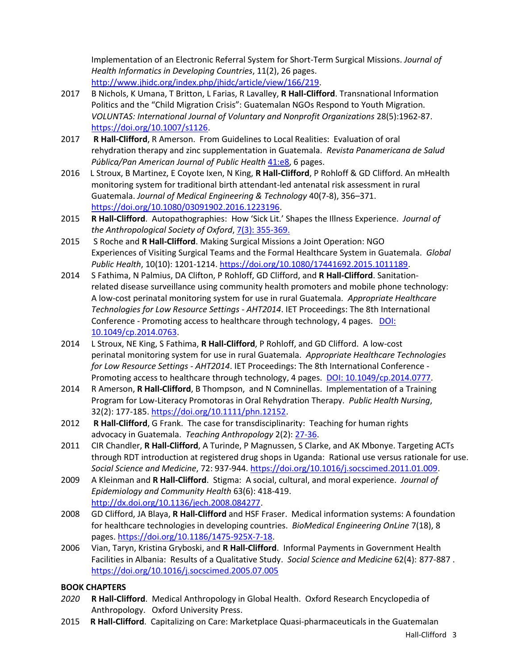Implementation of an Electronic Referral System for Short-Term Surgical Missions. *Journal of Health Informatics in Developing Countries*, 11(2), 26 pages. [http://www.jhidc.org/index.php/jhidc/article/view/166/219.](http://www.jhidc.org/index.php/jhidc/article/view/166/219)

- 2017 B Nichols, K Umana, T Britton, L Farias, R Lavalley, **R Hall-Clifford**. Transnational Information Politics and the "Child Migration Crisis": Guatemalan NGOs Respond to Youth Migration. *VOLUNTAS: International Journal of Voluntary and Nonprofit Organizations* 28(5):1962-87. [https://doi.org/10.1007/s1126.](https://doi.org/10.1007/s1126)
- 2017 **R Hall-Clifford**, R Amerson. From Guidelines to Local Realities: Evaluation of oral rehydration therapy and zinc supplementation in Guatemala. *Revista Panamericana de Salud*  Pública/Pan American Journal of Public Health [41:e8,](https://www.scielosp.org/scielo.php?pid=S1020-49892017000100205&script=sci_arttext&tlng=es) 6 pages.
- 2016 L Stroux, B Martinez, E Coyote Ixen, N King, **R Hall-Clifford**, P Rohloff & GD Clifford. An mHealth monitoring system for traditional birth attendant-led antenatal risk assessment in rural Guatemala. *Journal of Medical Engineering & Technology* 40(7-8), 356–371. [https://doi.org/10.1080/03091902.2016.1223196.](https://doi.org/10.1080/03091902.2016.1223196)
- 2015 **R Hall-Clifford**. Autopathographies: How 'Sick Lit.' Shapes the Illness Experience. *Journal of the Anthropological Society of Oxford*, [7\(3\): 355-369.](https://www.anthro.ox.ac.uk/sites/default/files/anthro/documents/media/jaso7_3_2015_355_369.pdf)
- 2015 S Roche and **R Hall-Clifford**. Making Surgical Missions a Joint Operation: NGO Experiences of Visiting Surgical Teams and the Formal Healthcare System in Guatemala. *Global Public Health*, 10(10): 1201-1214. [https://doi.org/10.1080/17441692.2015.1011189.](https://doi.org/10.1080/17441692.2015.1011189)
- 2014 S Fathima, N Palmius, DA Clifton, P Rohloff, GD Clifford, and **R Hall-Clifford**. Sanitationrelated disease surveillance using community health promoters and mobile phone technology: A low-cost perinatal monitoring system for use in rural Guatemala. *Appropriate Healthcare Technologies for Low Resource Settings - AHT2014*. IET Proceedings: The 8th International Conference - Promoting access to healthcare through technology, 4 pages. DOI: [10.1049/cp.2014.0763.](http://digital-library.theiet.org/content/conferences/10.1049/cp.2014.0763)
- 2014 L Stroux, NE King, S Fathima, **R Hall-Clifford**, P Rohloff, and GD Clifford. A low-cost perinatal monitoring system for use in rural Guatemala. *Appropriate Healthcare Technologies for Low Resource Settings - AHT2014*. IET Proceedings: The 8th International Conference - Promoting access to healthcare through technology, 4 pages. [DOI: 10.1049/cp.2014.0777.](http://digital-library.theiet.org/content/conferences/10.1049/cp.2014.0777)
- 2014 R Amerson, **R Hall-Clifford**, B Thompson, and N Comninellas. Implementation of a Training Program for Low-Literacy Promotoras in Oral Rehydration Therapy. *Public Health Nursing*, 32(2): 177-185. [https://doi.org/10.1111/phn.12152.](https://doi.org/10.1111/phn.12152)
- 2012 **R Hall-Clifford**, G Frank. The case for transdisciplinarity: Teaching for human rights advocacy in Guatemala. *Teaching Anthropology* 2(2): [27-36.](https://www.teachinganthropology.org/ojs/index.php/teach_anth/article/view/347/493)
- 2011 CIR Chandler, **R Hall-Clifford**, A Turinde, P Magnussen, S Clarke, and AK Mbonye. Targeting ACTs through RDT introduction at registered drug shops in Uganda: Rational use versus rationale for use. *Social Science and Medicine*, 72: 937-944. [https://doi.org/10.1016/j.socscimed.2011.01.009.](https://doi.org/10.1016/j.socscimed.2011.01.009)
- 2009 A Kleinman and **R Hall-Clifford**. Stigma: A social, cultural, and moral experience. *Journal of Epidemiology and Community Health* 63(6): 418-419. [http://dx.doi.org/10.1136/jech.2008.084277.](http://dx.doi.org/10.1136/jech.2008.084277)
- 2008 GD Clifford, JA Blaya, **R Hall-Clifford** and HSF Fraser. Medical information systems: A foundation for healthcare technologies in developing countries. *BioMedical Engineering OnLine* 7(18), 8 pages. [https://doi.org/10.1186/1475-925X-7-18.](https://doi.org/10.1186/1475-925X-7-18)
- 2006 Vian, Taryn, Kristina Gryboski, and **R Hall-Clifford**.Informal Payments in Government Health Facilities in Albania: Results of a Qualitative Study. *Social Science and Medicine* 62(4): 877-887 . <https://doi.org/10.1016/j.socscimed.2005.07.005>

# **BOOK CHAPTERS**

- *2020* **R Hall-Clifford**. Medical Anthropology in Global Health. Oxford Research Encyclopedia of Anthropology. Oxford University Press.
- 2015 **R Hall-Clifford**. Capitalizing on Care: Marketplace Quasi-pharmaceuticals in the Guatemalan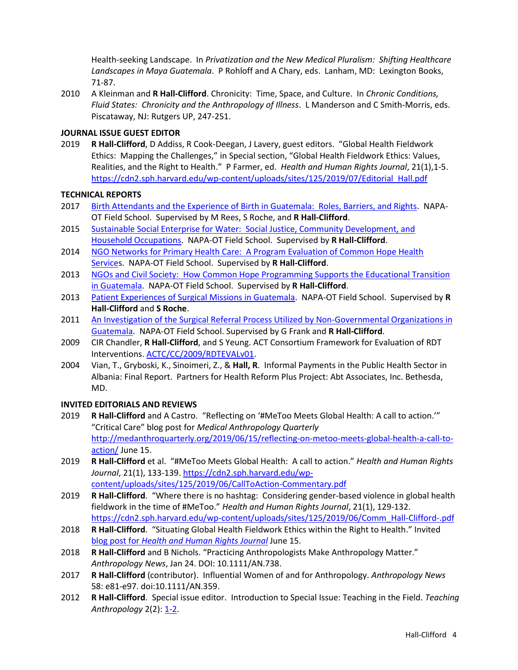Health-seeking Landscape. In *Privatization and the New Medical Pluralism: Shifting Healthcare Landscapes in Maya Guatemala*. P Rohloff and A Chary, eds. Lanham, MD: Lexington Books, 71-87.

2010 A Kleinman and **R Hall-Clifford**. Chronicity: Time, Space, and Culture. In *Chronic Conditions, Fluid States: Chronicity and the Anthropology of Illness*. L Manderson and C Smith-Morris, eds. Piscataway, NJ: Rutgers UP, 247-251.

# **JOURNAL ISSUE GUEST EDITOR**

2019 **R Hall-Clifford**, D Addiss, R Cook-Deegan, J Lavery, guest editors. "Global Health Fieldwork Ethics: Mapping the Challenges," in Special section, "Global Health Fieldwork Ethics: Values, Realities, and the Right to Health." P Farmer, ed. *Health and Human Rights Journal*, 21(1),1-5. [https://cdn2.sph.harvard.edu/wp-content/uploads/sites/125/2019/07/Editorial\\_Hall.pdf](https://cdn2.sph.harvard.edu/wp-content/uploads/sites/125/2019/07/Editorial_Hall.pdf)

## **TECHNICAL REPORTS**

- 2017 [Birth Attendants and the Experience of Birth in Guatemala: Roles, Barriers, and Rights.](https://drive.google.com/file/d/1oriKZGzq_ayjntez6uyQ81s-oKkrh9ra/view) NAPA-OT Field School. Supervised by M Rees, S Roche, and **R Hall-Clifford**.
- 2015 Sustainable Social Enterprise for Water: [Social Justice, Community Development, and](https://drive.google.com/file/d/0B2kpoCf_eddPZ2lIUmlJWkJQU2M/view)  [Household Occupations.](https://drive.google.com/file/d/0B2kpoCf_eddPZ2lIUmlJWkJQU2M/view) NAPA-OT Field School. Supervised by **R Hall-Clifford**.
- 2014 [NGO Networks for Primary Health Care: A Program Evaluation of Common Hope Health](https://sites.google.com/site/napaotfieldschoolguatemala/home/press/ngo-networks-for-primary-health-care)  [Services](https://sites.google.com/site/napaotfieldschoolguatemala/home/press/ngo-networks-for-primary-health-care). NAPA-OT Field School. Supervised by **R Hall-Clifford**.
- 2013 NGOs and Civil Society: [How Common Hope Programming Supports the Educational Transition](https://sites.google.com/site/napaotfieldschoolguatemala/home/press/guatemalas-educational-transition)  [in Guatemala.](https://sites.google.com/site/napaotfieldschoolguatemala/home/press/guatemalas-educational-transition) NAPA-OT Field School. Supervised by **R Hall-Clifford**.
- 2013 [Patient Experiences of Surgical Missions in Guatemala.](https://sites.google.com/site/napaotfieldschoolguatemala/home/press/patient-experiences-of-medical-missions) NAPA-OT Field School. Supervised by **R Hall-Clifford** and **S Roche**.
- 2011 An Investigation of the Surgical Referral Process Utilized by Non-Governmental Organizations in [Guatemala.](https://sites.google.com/site/napaotfieldschoolguatemala/home/press/ngo-networks-redes-de-ongs) NAPA-OT Field School. Supervised by G Frank and **R Hall-Clifford**.
- 2009 CIR Chandler, **R Hall-Clifford**, and S Yeung. ACT Consortium Framework for Evaluation of RDT Interventions. [ACTC/CC/2009/RDTEVALv01.](http://www.actconsortium.org/pages/guidance-notes.html)
- 2004 Vian, T., Gryboski, K., Sinoimeri, Z., & **Hall, R**. Informal Payments in the Public Health Sector in Albania: Final Report. Partners for Health Reform Plus Project: Abt Associates, Inc. Bethesda, MD.

## **INVITED EDITORIALS AND REVIEWS**

- 2019 **R Hall-Clifford** and A Castro. "Reflecting on '#MeToo Meets Global Health: A call to action.'" "Critical Care" blog post for *Medical Anthropology Quarterly* [http://medanthroquarterly.org/2019/06/15/reflecting-on-metoo-meets-global-health-a-call-to](http://medanthroquarterly.org/2019/06/15/reflecting-on-metoo-meets-global-health-a-call-to-action/)[action/](http://medanthroquarterly.org/2019/06/15/reflecting-on-metoo-meets-global-health-a-call-to-action/) June 15.
- 2019 **R Hall-Clifford** et al. "#MeToo Meets Global Health: A call to action." *Health and Human Rights Journal*, 21(1), 133-139. [https://cdn2.sph.harvard.edu/wp](https://cdn2.sph.harvard.edu/wp-content/uploads/sites/125/2019/06/CallToAction-Commentary.pdf)[content/uploads/sites/125/2019/06/CallToAction-Commentary.pdf](https://cdn2.sph.harvard.edu/wp-content/uploads/sites/125/2019/06/CallToAction-Commentary.pdf)
- 2019 **R Hall-Clifford**. "Where there is no hashtag: Considering gender-based violence in global health fieldwork in the time of #MeToo." *Health and Human Rights Journal*, 21(1), 129-132. [https://cdn2.sph.harvard.edu/wp-content/uploads/sites/125/2019/06/Comm\\_Hall-Clifford-.pdf](https://cdn2.sph.harvard.edu/wp-content/uploads/sites/125/2019/06/Comm_Hall-Clifford-.pdf)
- 2018 **R Hall-Clifford**. "Situating Global Health Fieldwork Ethics within the Right to Health." Invited blog post for *[Health and Human Rights Journal](https://www.hhrjournal.org/2018/06/situating-global-health-fieldwork-ethics-within-the-right-to-health/)* June 15.
- 2018 **R Hall-Clifford** and B Nichols. "Practicing Anthropologists Make Anthropology Matter." *Anthropology News*, Jan 24. DOI: 10.1111/AN.738.
- 2017 **R Hall-Clifford** (contributor). Influential Women of and for Anthropology. *Anthropology News* 58: e81-e97. doi:10.1111/AN.359.
- 2012 **R Hall-Clifford**. Special issue editor. Introduction to Special Issue: Teaching in the Field. *Teaching Anthropology* 2(2)[: 1-2.](https://www.teachinganthropology.org/ojs/index.php/teach_anth/article/view/344/494)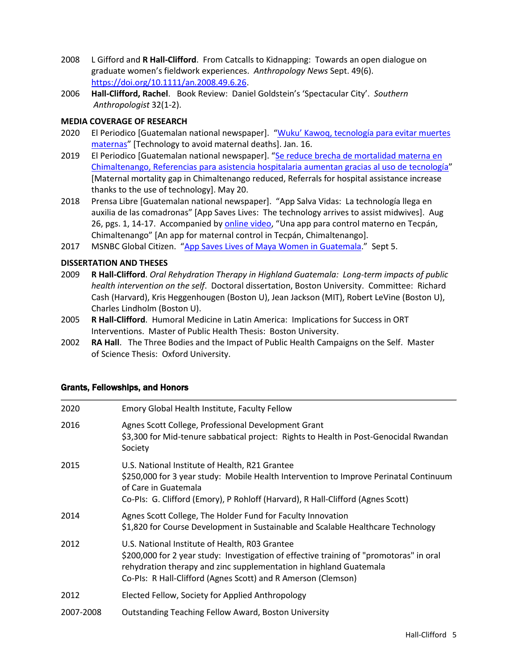- 2008 L Gifford and **R Hall-Clifford**. From Catcalls to Kidnapping: Towards an open dialogue on graduate women's fieldwork experiences. *Anthropology News* Sept. 49(6). [https://doi.org/10.1111/an.2008.49.6.26.](https://doi.org/10.1111/an.2008.49.6.26)
- 2006 **Hall-Clifford, Rachel**. Book Review: Daniel Goldstein's 'Spectacular City'. *Southern Anthropologist* 32(1-2).

# **MEDIA COVERAGE OF RESEARCH**

- 2020 El Periodico [Guatemalan national newspaper]. ["Wuku' Kawoq, tecnología para evitar muertes](https://elperiodico.com.gt/domingo/2020/01/12/wuku-kawoq-tecnologia-para-evitar-muertes-maternas/)  [maternas](https://elperiodico.com.gt/domingo/2020/01/12/wuku-kawoq-tecnologia-para-evitar-muertes-maternas/)" [Technology to avoid maternal deaths]. Jan. 16.
- 2019 El Periodico [Guatemalan national newspaper]. "Se reduce brecha de mortalidad materna en [Chimaltenango, Referencias para asistencia hospitalaria aumentan gracias al uso de tecnología](https://elperiodico.com.gt/nacion/2019/05/20/se-reduce-brecha-de-mortalidad-materna-en-chimaltenango/)" [Maternal mortality gap in Chimaltenango reduced, Referrals for hospital assistance increase thanks to the use of technology]. May 20.
- 2018 Prensa Libre [Guatemalan national newspaper]. "App Salva Vidas: La technología llega en auxilia de las comadronas" [App Saves Lives: The technology arrives to assist midwives]. Aug 26, pgs. 1, 14-17. Accompanied b[y online video](https://www.prensalibre.com/PrensaLibreTV/guatemala/una-app-para-control-materno-en-tecpan-chimaltenango), "Una app para control materno en Tecpán, Chimaltenango" [An app for maternal control in Tecpán, Chimaltenango].
- 2017 MSNBC Global Citizen. "[App Saves Lives of Maya Women in Guatemala](https://www.nbcnews.com/globalcitizen/video/app-saves-lives-of-maya-women-in-guatemala-1039437379735?v=raila)." Sept 5.

# **DISSERTATION AND THESES**

- 2009 **R Hall-Clifford**. *Oral Rehydration Therapy in Highland Guatemala: Long-term impacts of public health intervention on the self*. Doctoral dissertation, Boston University. Committee: Richard Cash (Harvard), Kris Heggenhougen (Boston U), Jean Jackson (MIT), Robert LeVine (Boston U), Charles Lindholm (Boston U).
- 2005 **R Hall-Clifford**. Humoral Medicine in Latin America: Implications for Success in ORT Interventions. Master of Public Health Thesis: Boston University.
- 2002 **RA Hall**. The Three Bodies and the Impact of Public Health Campaigns on the Self. Master of Science Thesis: Oxford University.

## Grants, Fellowships, and Honors

| 2020      | Emory Global Health Institute, Faculty Fellow                                                                                                                                                                                                                                    |
|-----------|----------------------------------------------------------------------------------------------------------------------------------------------------------------------------------------------------------------------------------------------------------------------------------|
| 2016      | Agnes Scott College, Professional Development Grant<br>\$3,300 for Mid-tenure sabbatical project: Rights to Health in Post-Genocidal Rwandan<br>Society                                                                                                                          |
| 2015      | U.S. National Institute of Health, R21 Grantee<br>\$250,000 for 3 year study: Mobile Health Intervention to Improve Perinatal Continuum<br>of Care in Guatemala<br>Co-PIs: G. Clifford (Emory), P Rohloff (Harvard), R Hall-Clifford (Agnes Scott)                               |
| 2014      | Agnes Scott College, The Holder Fund for Faculty Innovation<br>\$1,820 for Course Development in Sustainable and Scalable Healthcare Technology                                                                                                                                  |
| 2012      | U.S. National Institute of Health, R03 Grantee<br>\$200,000 for 2 year study: Investigation of effective training of "promotoras" in oral<br>rehydration therapy and zinc supplementation in highland Guatemala<br>Co-PIs: R Hall-Clifford (Agnes Scott) and R Amerson (Clemson) |
| 2012      | Elected Fellow, Society for Applied Anthropology                                                                                                                                                                                                                                 |
| 2007-2008 | <b>Outstanding Teaching Fellow Award, Boston University</b>                                                                                                                                                                                                                      |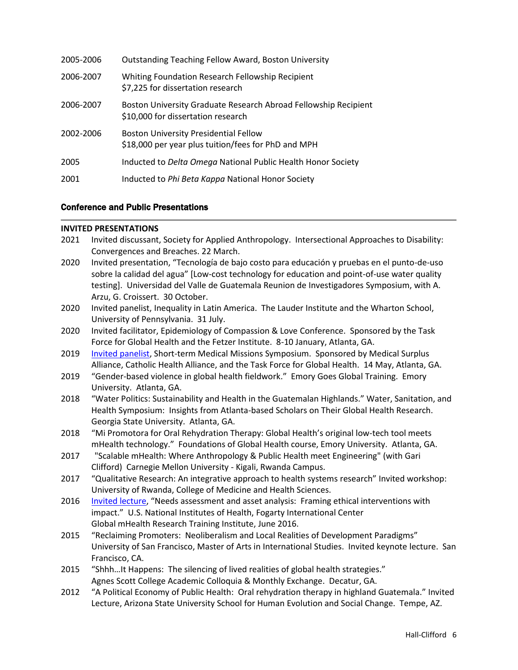| 2005-2006 | <b>Outstanding Teaching Fellow Award, Boston University</b>                                           |
|-----------|-------------------------------------------------------------------------------------------------------|
| 2006-2007 | Whiting Foundation Research Fellowship Recipient<br>\$7,225 for dissertation research                 |
| 2006-2007 | Boston University Graduate Research Abroad Fellowship Recipient<br>\$10,000 for dissertation research |
| 2002-2006 | <b>Boston University Presidential Fellow</b><br>\$18,000 per year plus tuition/fees for PhD and MPH   |
| 2005      | Inducted to Delta Omega National Public Health Honor Society                                          |
| 2001      | Inducted to Phi Beta Kappa National Honor Society                                                     |

# Conference and Public Presentations

#### **INVITED PRESENTATIONS**

- 2021 Invited discussant, Society for Applied Anthropology. Intersectional Approaches to Disability: Convergences and Breaches. 22 March.
- 2020 Invited presentation, "Tecnología de bajo costo para educación y pruebas en el punto-de-uso sobre la calidad del agua" [Low-cost technology for education and point-of-use water quality testing]. Universidad del Valle de Guatemala Reunion de Investigadores Symposium, with A. Arzu, G. Croissert. 30 October.
- 2020 Invited panelist, Inequality in Latin America. The Lauder Institute and the Wharton School, University of Pennsylvania. 31 July.
- 2020 Invited facilitator, Epidemiology of Compassion & Love Conference. Sponsored by the Task Force for Global Health and the Fetzer Institute. 8-10 January, Atlanta, GA.
- 2019 [Invited panelist,](https://www.medsurplusalliance.org/short-term-medical-missions-symposi) Short-term Medical Missions Symposium. Sponsored by Medical Surplus Alliance, Catholic Health Alliance, and the Task Force for Global Health. 14 May, Atlanta, GA.
- 2019 "Gender-based violence in global health fieldwork." Emory Goes Global Training. Emory University. Atlanta, GA.
- 2018 "Water Politics: Sustainability and Health in the Guatemalan Highlands." Water, Sanitation, and Health Symposium: Insights from Atlanta-based Scholars on Their Global Health Research. Georgia State University. Atlanta, GA.
- 2018 "Mi Promotora for Oral Rehydration Therapy: Global Health's original low-tech tool meets mHealth technology." Foundations of Global Health course, Emory University. Atlanta, GA.
- 2017 "Scalable mHealth: Where Anthropology & Public Health meet Engineering" (with Gari Clifford) Carnegie Mellon University - Kigali, Rwanda Campus.
- 2017 "Qualitative Research: An integrative approach to health systems research" Invited workshop: University of Rwanda, College of Medicine and Health Sciences.
- 2016 [Invited lecture,](https://www.fic.nih.gov/About/Staff/Policy-Planning-Evaluation/Documents/fogarty-nih-2016-mhealth-institute-needs-assessment-hall-clifford.pdf) "Needs assessment and asset analysis: Framing ethical interventions with impact." U.S. National Institutes of Health, Fogarty International Center Global mHealth Research Training Institute, June 2016.
- 2015 "Reclaiming Promoters: Neoliberalism and Local Realities of Development Paradigms" University of San Francisco, Master of Arts in International Studies. Invited keynote lecture. San Francisco, CA.
- 2015 "Shhh…It Happens: The silencing of lived realities of global health strategies." Agnes Scott College Academic Colloquia & Monthly Exchange. Decatur, GA.
- 2012 "A Political Economy of Public Health: Oral rehydration therapy in highland Guatemala." Invited Lecture, Arizona State University School for Human Evolution and Social Change. Tempe, AZ.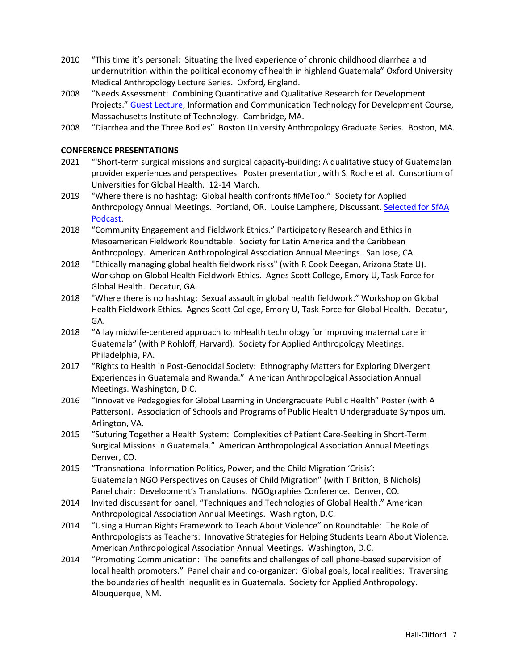- 2010 "This time it's personal: Situating the lived experience of chronic childhood diarrhea and undernutrition within the political economy of health in highland Guatemala" Oxford University Medical Anthropology Lecture Series. Oxford, England.
- 2008 "Needs Assessment: Combining Quantitative and Qualitative Research for Development Projects." [Guest Lecture,](https://ocw.mit.edu/courses/media-arts-and-sciences/mas-965-nextlab-i-designing-mobile-technologies-for-the-next-billion-users-fall-2008/lecture-videos/embed_03_01/) Information and Communication Technology for Development Course, Massachusetts Institute of Technology. Cambridge, MA.
- 2008 "Diarrhea and the Three Bodies" Boston University Anthropology Graduate Series. Boston, MA.

# **CONFERENCE PRESENTATIONS**

- 2021 "'Short-term surgical missions and surgical capacity-building: A qualitative study of Guatemalan provider experiences and perspectives' Poster presentation, with S. Roche et al. Consortium of Universities for Global Health. 12-14 March.
- 2019 "Where there is no hashtag: Global health confronts #MeToo." Society for Applied Anthropology Annual Meetings. Portland, OR. Louise Lamphere, Discussant. [Selected for SfAA](http://sfaa.net/podcast/index.php/podcasts/2019-portland-engaging-change-turbulent-times/moving-beyond-metoo-commentary-how-applied-anthropologists-can-implement-lasting-change/)  [Podcast.](http://sfaa.net/podcast/index.php/podcasts/2019-portland-engaging-change-turbulent-times/moving-beyond-metoo-commentary-how-applied-anthropologists-can-implement-lasting-change/)
- 2018 "Community Engagement and Fieldwork Ethics." Participatory Research and Ethics in Mesoamerican Fieldwork Roundtable. Society for Latin America and the Caribbean Anthropology. American Anthropological Association Annual Meetings. San Jose, CA.
- 2018 "Ethically managing global health fieldwork risks" (with R Cook Deegan, Arizona State U). Workshop on Global Health Fieldwork Ethics. Agnes Scott College, Emory U, Task Force for Global Health. Decatur, GA.
- 2018 "Where there is no hashtag: Sexual assault in global health fieldwork." Workshop on Global Health Fieldwork Ethics. Agnes Scott College, Emory U, Task Force for Global Health. Decatur, GA.
- 2018 "A lay midwife-centered approach to mHealth technology for improving maternal care in Guatemala" (with P Rohloff, Harvard). Society for Applied Anthropology Meetings. Philadelphia, PA.
- 2017 "Rights to Health in Post-Genocidal Society: Ethnography Matters for Exploring Divergent Experiences in Guatemala and Rwanda." American Anthropological Association Annual Meetings. Washington, D.C.
- 2016 "Innovative Pedagogies for Global Learning in Undergraduate Public Health" Poster (with A Patterson). Association of Schools and Programs of Public Health Undergraduate Symposium. Arlington, VA.
- 2015 "Suturing Together a Health System: Complexities of Patient Care-Seeking in Short-Term Surgical Missions in Guatemala." American Anthropological Association Annual Meetings. Denver, CO.
- 2015 "Transnational Information Politics, Power, and the Child Migration 'Crisis': Guatemalan NGO Perspectives on Causes of Child Migration" (with T Britton, B Nichols) Panel chair: Development's Translations. NGOgraphies Conference. Denver, CO.
- 2014 Invited discussant for panel, "Techniques and Technologies of Global Health." American Anthropological Association Annual Meetings. Washington, D.C.
- 2014 "Using a Human Rights Framework to Teach About Violence" on Roundtable: The Role of Anthropologists as Teachers: Innovative Strategies for Helping Students Learn About Violence. American Anthropological Association Annual Meetings. Washington, D.C.
- 2014 "Promoting Communication: The benefits and challenges of cell phone-based supervision of local health promoters." Panel chair and co-organizer: Global goals, local realities: Traversing the boundaries of health inequalities in Guatemala. Society for Applied Anthropology. Albuquerque, NM.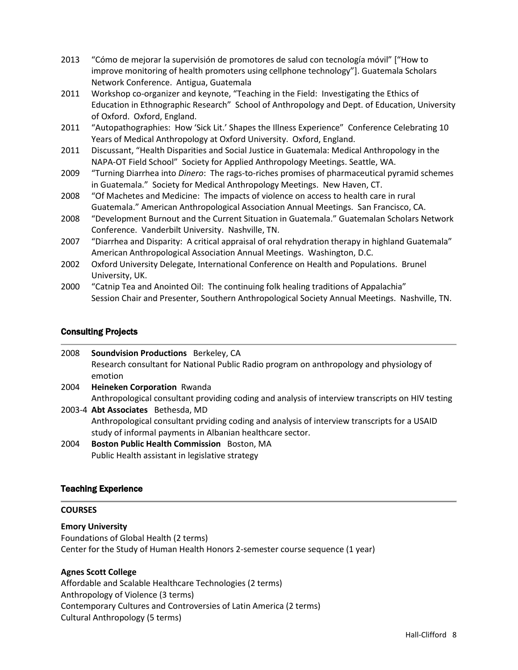- 2013 "Cómo de mejorar la supervisión de promotores de salud con tecnología móvil" ["How to improve monitoring of health promoters using cellphone technology"]. Guatemala Scholars Network Conference. Antigua, Guatemala
- 2011 Workshop co-organizer and keynote, "Teaching in the Field: Investigating the Ethics of Education in Ethnographic Research" School of Anthropology and Dept. of Education, University of Oxford. Oxford, England.
- 2011 "Autopathographies: How 'Sick Lit.' Shapes the Illness Experience" Conference Celebrating 10 Years of Medical Anthropology at Oxford University. Oxford, England.
- 2011 Discussant, "Health Disparities and Social Justice in Guatemala: Medical Anthropology in the NAPA-OT Field School" Society for Applied Anthropology Meetings. Seattle, WA.
- 2009 "Turning Diarrhea into *Dinero*: The rags-to-riches promises of pharmaceutical pyramid schemes in Guatemala." Society for Medical Anthropology Meetings. New Haven, CT.
- 2008 "Of Machetes and Medicine: The impacts of violence on access to health care in rural Guatemala." American Anthropological Association Annual Meetings. San Francisco, CA.
- 2008 "Development Burnout and the Current Situation in Guatemala." Guatemalan Scholars Network Conference. Vanderbilt University. Nashville, TN.
- 2007 "Diarrhea and Disparity: A critical appraisal of oral rehydration therapy in highland Guatemala" American Anthropological Association Annual Meetings. Washington, D.C.
- 2002 Oxford University Delegate, International Conference on Health and Populations. Brunel University, UK.
- 2000 "Catnip Tea and Anointed Oil: The continuing folk healing traditions of Appalachia" Session Chair and Presenter, Southern Anthropological Society Annual Meetings. Nashville, TN.

# Consulting Projects

| 2008 | Soundvision Productions Berkeley, CA                                                               |
|------|----------------------------------------------------------------------------------------------------|
|      | Research consultant for National Public Radio program on anthropology and physiology of<br>emotion |
|      |                                                                                                    |
| 2004 | Heineken Corporation Rwanda                                                                        |
|      | Anthropological consultant providing coding and analysis of interview transcripts on HIV testing   |
|      | 2003-4 Abt Associates Bethesda, MD                                                                 |
|      | Anthropological consultant prviding coding and analysis of interview transcripts for a USAID       |
|      | study of informal payments in Albanian healthcare sector.                                          |
| 2004 | Boston Public Health Commission Boston, MA                                                         |
|      | Public Health assistant in legislative strategy                                                    |

## Teaching Experience

## **COURSES**

**Emory University** Foundations of Global Health (2 terms) Center for the Study of Human Health Honors 2-semester course sequence (1 year)

## **Agnes Scott College**

Affordable and Scalable Healthcare Technologies (2 terms) Anthropology of Violence (3 terms) Contemporary Cultures and Controversies of Latin America (2 terms) Cultural Anthropology (5 terms)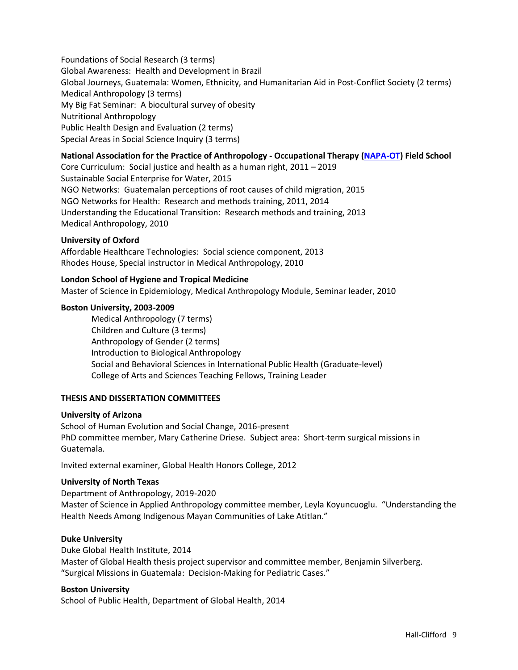Foundations of Social Research (3 terms) Global Awareness: Health and Development in Brazil Global Journeys, Guatemala: Women, Ethnicity, and Humanitarian Aid in Post-Conflict Society (2 terms) Medical Anthropology (3 terms) My Big Fat Seminar: A biocultural survey of obesity Nutritional Anthropology Public Health Design and Evaluation (2 terms) Special Areas in Social Science Inquiry (3 terms)

# **National Association for the Practice of Anthropology - Occupational Therapy [\(NAPA-OT\)](http://napaotguatemala.org/) Field School**

Core Curriculum: Social justice and health as a human right, 2011 – 2019 Sustainable Social Enterprise for Water, 2015 NGO Networks: Guatemalan perceptions of root causes of child migration, 2015 NGO Networks for Health: Research and methods training, 2011, 2014 Understanding the Educational Transition: Research methods and training, 2013 Medical Anthropology, 2010

#### **University of Oxford**

Affordable Healthcare Technologies: Social science component, 2013 Rhodes House, Special instructor in Medical Anthropology, 2010

## **London School of Hygiene and Tropical Medicine**

Master of Science in Epidemiology, Medical Anthropology Module, Seminar leader, 2010

#### **Boston University, 2003-2009**

Medical Anthropology (7 terms) Children and Culture (3 terms) Anthropology of Gender (2 terms) Introduction to Biological Anthropology Social and Behavioral Sciences in International Public Health (Graduate-level) College of Arts and Sciences Teaching Fellows, Training Leader

#### **THESIS AND DISSERTATION COMMITTEES**

#### **University of Arizona**

School of Human Evolution and Social Change, 2016-present PhD committee member, Mary Catherine Driese. Subject area: Short-term surgical missions in Guatemala.

Invited external examiner, Global Health Honors College, 2012

#### **University of North Texas**

Department of Anthropology, 2019-2020 Master of Science in Applied Anthropology committee member, Leyla Koyuncuoglu. "Understanding the Health Needs Among Indigenous Mayan Communities of Lake Atitlan."

#### **Duke University**

Duke Global Health Institute, 2014 Master of Global Health thesis project supervisor and committee member, Benjamin Silverberg. "Surgical Missions in Guatemala: Decision-Making for Pediatric Cases."

#### **Boston University**

School of Public Health, Department of Global Health, 2014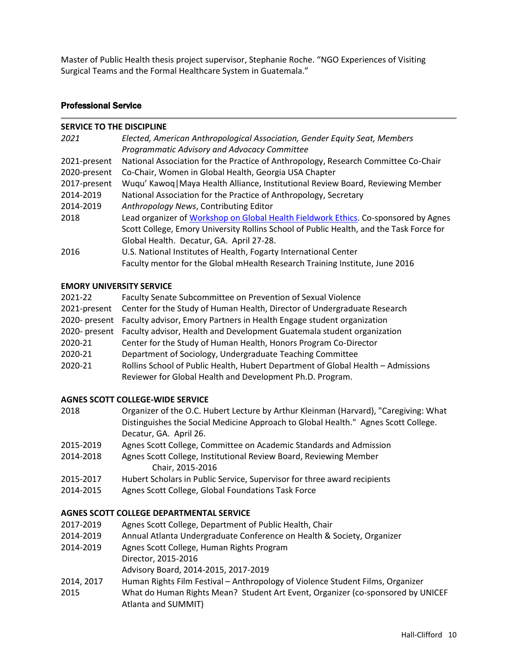Master of Public Health thesis project supervisor, Stephanie Roche. "NGO Experiences of Visiting Surgical Teams and the Formal Healthcare System in Guatemala."

## Professional Service

#### **SERVICE TO THE DISCIPLINE**

| 2021         | Elected, American Anthropological Association, Gender Equity Seat, Members              |
|--------------|-----------------------------------------------------------------------------------------|
|              | Programmatic Advisory and Advocacy Committee                                            |
| 2021-present | National Association for the Practice of Anthropology, Research Committee Co-Chair      |
| 2020-present | Co-Chair, Women in Global Health, Georgia USA Chapter                                   |
| 2017-present | Wuqu' Kawoq   Maya Health Alliance, Institutional Review Board, Reviewing Member        |
| 2014-2019    | National Association for the Practice of Anthropology, Secretary                        |
| 2014-2019    | Anthropology News, Contributing Editor                                                  |
| 2018         | Lead organizer of Workshop on Global Health Fieldwork Ethics. Co-sponsored by Agnes     |
|              | Scott College, Emory University Rollins School of Public Health, and the Task Force for |
|              | Global Health. Decatur, GA. April 27-28.                                                |
| 2016         | U.S. National Institutes of Health, Fogarty International Center                        |
|              | Faculty mentor for the Global mHealth Research Training Institute, June 2016            |

#### **EMORY UNIVERSITY SERVICE**

| 2021-22      | Faculty Senate Subcommittee on Prevention of Sexual Violence                         |
|--------------|--------------------------------------------------------------------------------------|
| 2021-present | Center for the Study of Human Health, Director of Undergraduate Research             |
|              | 2020- present Faculty advisor, Emory Partners in Health Engage student organization  |
|              | 2020- present Faculty advisor, Health and Development Guatemala student organization |
| 2020-21      | Center for the Study of Human Health, Honors Program Co-Director                     |
| 2020-21      | Department of Sociology, Undergraduate Teaching Committee                            |
| 2020-21      | Rollins School of Public Health, Hubert Department of Global Health - Admissions     |
|              | Reviewer for Global Health and Development Ph.D. Program.                            |

#### **AGNES SCOTT COLLEGE-WIDE SERVICE**

| 2018       | Organizer of the O.C. Hubert Lecture by Arthur Kleinman (Harvard), "Caregiving: What |
|------------|--------------------------------------------------------------------------------------|
|            | Distinguishes the Social Medicine Approach to Global Health." Agnes Scott College.   |
|            | Decatur, GA. April 26.                                                               |
| 2015, 2010 | Agnos Scott Collage, Committee on Academic Standards and Admission                   |

- 2015-2019 Agnes Scott College, Committee on Academic Standards and Admission
- 2014-2018 Agnes Scott College, Institutional Review Board, Reviewing Member Chair, 2015-2016
- 2015-2017 Hubert Scholars in Public Service, Supervisor for three award recipients
- 2014-2015 Agnes Scott College, Global Foundations Task Force

## **AGNES SCOTT COLLEGE DEPARTMENTAL SERVICE**

- 2017-2019 Agnes Scott College, Department of Public Health, Chair
- 2014-2019 Annual Atlanta Undergraduate Conference on Health & Society, Organizer
- 2014-2019 Agnes Scott College, Human Rights Program Director, 2015-2016
	- Advisory Board, 2014-2015, 2017-2019
- 2014, 2017 Human Rights Film Festival Anthropology of Violence Student Films, Organizer
- 2015 What do Human Rights Mean? Student Art Event, Organizer (co-sponsored by UNICEF Atlanta and SUMMIT)